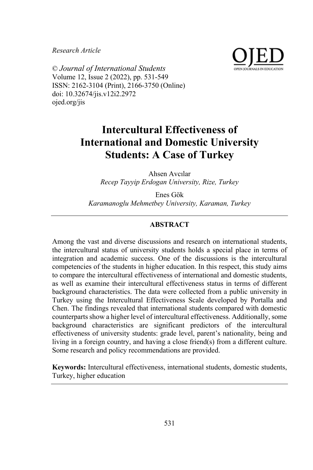*Research Article*



© *Journal of International Students* Volume 12, Issue 2 (2022), pp. 531-549 ISSN: 2162-3104 (Print), 2166-3750 (Online) doi: 10.32674/jis.v12i2.2972 ojed.org/jis

# **Intercultural Effectiveness of International and Domestic University Students: A Case of Turkey**

Ahsen Avcılar *Recep Tayyip Erdogan University, Rize, Turkey*

Enes Gök *Karamanoglu Mehmetbey University, Karaman, Turkey*

# **ABSTRACT**

Among the vast and diverse discussions and research on international students, the intercultural status of university students holds a special place in terms of integration and academic success. One of the discussions is the intercultural competencies of the students in higher education. In this respect, this study aims to compare the intercultural effectiveness of international and domestic students, as well as examine their intercultural effectiveness status in terms of different background characteristics. The data were collected from a public university in Turkey using the Intercultural Effectiveness Scale developed by Portalla and Chen. The findings revealed that international students compared with domestic counterparts show a higher level of intercultural effectiveness. Additionally, some background characteristics are significant predictors of the intercultural effectiveness of university students: grade level, parent's nationality, being and living in a foreign country, and having a close friend(s) from a different culture. Some research and policy recommendations are provided.

**Keywords:** Intercultural effectiveness, international students, domestic students, Turkey, higher education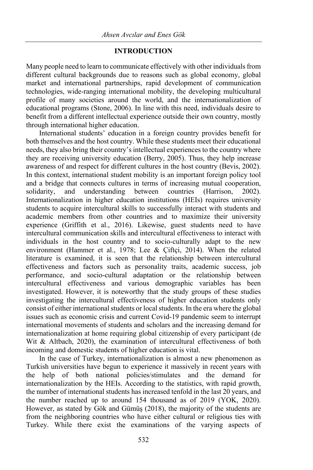## **INTRODUCTION**

Many people need to learn to communicate effectively with other individuals from different cultural backgrounds due to reasons such as global economy, global market and international partnerships, rapid development of communication technologies, wide-ranging international mobility, the developing multicultural profile of many societies around the world, and the internationalization of educational programs (Stone, 2006). In line with this need, individuals desire to benefit from a different intellectual experience outside their own country, mostly through international higher education.

International students' education in a foreign country provides benefit for both themselves and the host country. While these students meet their educational needs, they also bring their country's intellectual experiences to the country where they are receiving university education (Berry, 2005). Thus, they help increase awareness of and respect for different cultures in the host country (Bevis, 2002). In this context, international student mobility is an important foreign policy tool and a bridge that connects cultures in terms of increasing mutual cooperation, solidarity, and understanding between countries (Harrison, 2002). Internationalization in higher education institutions (HEIs) requires university students to acquire intercultural skills to successfully interact with students and academic members from other countries and to maximize their university experience (Griffith et al., 2016). Likewise, guest students need to have intercultural communication skills and intercultural effectiveness to interact with individuals in the host country and to socio-culturally adapt to the new environment (Hammer et al., 1978; Lee & Çiftçi, 2014). When the related literature is examined, it is seen that the relationship between intercultural effectiveness and factors such as personality traits, academic success, job performance, and socio-cultural adaptation or the relationship between intercultural effectiveness and various demographic variables has been investigated. However, it is noteworthy that the study groups of these studies investigating the intercultural effectiveness of higher education students only consist of either international students or local students. In the era where the global issues such as economic crisis and current Covid-19 pandemic seem to interrupt international movements of students and scholars and the increasing demand for internationalization at home requiring global citizenship of every participant (de Wit & Altbach, 2020), the examination of intercultural effectiveness of both incoming and domestic students of higher education is vital.

In the case of Turkey, internationalization is almost a new phenomenon as Turkish universities have begun to experience it massively in recent years with the help of both national policies/stimulates and the demand for internationalization by the HEIs. According to the statistics, with rapid growth, the number of international students has increased tenfold in the last 20 years, and the number reached up to around 154 thousand as of 2019 (YOK, 2020). However, as stated by Gök and Gümüş (2018), the majority of the students are from the neighboring countries who have either cultural or religious ties with Turkey. While there exist the examinations of the varying aspects of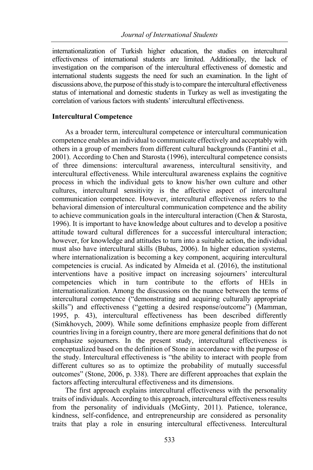internationalization of Turkish higher education, the studies on intercultural effectiveness of international students are limited. Additionally, the lack of investigation on the comparison of the intercultural effectiveness of domestic and international students suggests the need for such an examination. In the light of discussions above, the purpose of this study is to compare the intercultural effectiveness status of international and domestic students in Turkey as well as investigating the correlation of various factors with students' intercultural effectiveness.

## **Intercultural Competence**

As a broader term, intercultural competence or intercultural communication competence enables an individual to communicate effectively and acceptably with others in a group of members from different cultural backgrounds (Fantini et al., 2001). According to Chen and Starosta (1996), intercultural competence consists of three dimensions: intercultural awareness, intercultural sensitivity, and intercultural effectiveness. While intercultural awareness explains the cognitive process in which the individual gets to know his/her own culture and other cultures, intercultural sensitivity is the affective aspect of intercultural communication competence. However, intercultural effectiveness refers to the behavioral dimension of intercultural communication competence and the ability to achieve communication goals in the intercultural interaction (Chen & Starosta, 1996). It is important to have knowledge about cultures and to develop a positive attitude toward cultural differences for a successful intercultural interaction; however, for knowledge and attitudes to turn into a suitable action, the individual must also have intercultural skills (Bubas, 2006). In higher education systems, where internationalization is becoming a key component, acquiring intercultural competencies is crucial. As indicated by Almeida et al. (2016), the institutional interventions have a positive impact on increasing sojourners' intercultural competencies which in turn contribute to the efforts of HEIs in internationalization. Among the discussions on the nuance between the terms of intercultural competence ("demonstrating and acquiring culturally appropriate skills") and effectiveness ("getting a desired response/outcome") (Mamman, 1995, p. 43), intercultural effectiveness has been described differently (Simkhovych, 2009). While some definitions emphasize people from different countries living in a foreign country, there are more general definitions that do not emphasize sojourners. In the present study, intercultural effectiveness is conceptualized based on the definition of Stone in accordance with the purpose of the study. Intercultural effectiveness is "the ability to interact with people from different cultures so as to optimize the probability of mutually successful outcomes" (Stone, 2006, p. 338). There are different approaches that explain the factors affecting intercultural effectiveness and its dimensions.

The first approach explains intercultural effectiveness with the personality traits of individuals. According to this approach, intercultural effectiveness results from the personality of individuals (McGinty, 2011). Patience, tolerance, kindness, self-confidence, and entrepreneurship are considered as personality traits that play a role in ensuring intercultural effectiveness. Intercultural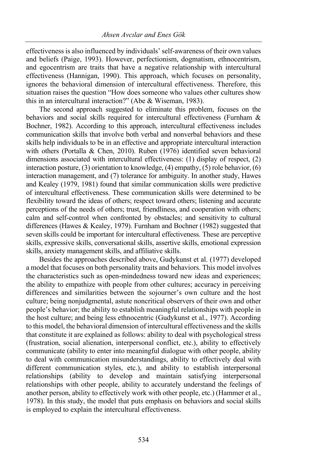effectiveness is also influenced by individuals' self-awareness of their own values and beliefs (Paige, 1993). However, perfectionism, dogmatism, ethnocentrism, and egocentrism are traits that have a negative relationship with intercultural effectiveness (Hannigan, 1990). This approach, which focuses on personality, ignores the behavioral dimension of intercultural effectiveness. Therefore, this situation raises the question "How does someone who values other cultures show this in an intercultural interaction?" (Abe & Wiseman, 1983).

The second approach suggested to eliminate this problem, focuses on the behaviors and social skills required for intercultural effectiveness (Furnham & Bochner, 1982). According to this approach, intercultural effectiveness includes communication skills that involve both verbal and nonverbal behaviors and these skills help individuals to be in an effective and appropriate intercultural interaction with others (Portalla & Chen, 2010). Ruben (1976) identified seven behavioral dimensions associated with intercultural effectiveness: (1) display of respect, (2) interaction posture, (3) orientation to knowledge, (4) empathy, (5) role behavior, (6) interaction management, and (7) tolerance for ambiguity. In another study, Hawes and Kealey (1979, 1981) found that similar communication skills were predictive of intercultural effectiveness. These communication skills were determined to be flexibility toward the ideas of others; respect toward others; listening and accurate perceptions of the needs of others; trust, friendliness, and cooperation with others; calm and self-control when confronted by obstacles; and sensitivity to cultural differences (Hawes & Kealey, 1979). Furnham and Bochner (1982) suggested that seven skills could be important for intercultural effectiveness. These are perceptive skills, expressive skills, conversational skills, assertive skills, emotional expression skills, anxiety management skills, and affiliative skills.

Besides the approaches described above, Gudykunst et al. (1977) developed a model that focuses on both personality traits and behaviors. This model involves the characteristics such as open-mindedness toward new ideas and experiences; the ability to empathize with people from other cultures; accuracy in perceiving differences and similarities between the sojourner's own culture and the host culture; being nonjudgmental, astute noncritical observers of their own and other people's behavior; the ability to establish meaningful relationships with people in the host culture; and being less ethnocentric (Gudykunst et al., 1977). According to this model, the behavioral dimension of intercultural effectiveness and the skills that constitute it are explained as follows: ability to deal with psychological stress (frustration, social alienation, interpersonal conflict, etc.), ability to effectively communicate (ability to enter into meaningful dialogue with other people, ability to deal with communication misunderstandings, ability to effectively deal with different communication styles, etc.), and ability to establish interpersonal relationships (ability to develop and maintain satisfying interpersonal relationships with other people, ability to accurately understand the feelings of another person, ability to effectively work with other people, etc.) (Hammer et al., 1978). In this study, the model that puts emphasis on behaviors and social skills is employed to explain the intercultural effectiveness.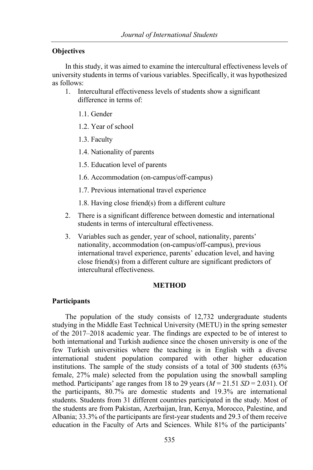## **Objectives**

In this study, it was aimed to examine the intercultural effectiveness levels of university students in terms of various variables. Specifically, it was hypothesized as follows:

- 1. Intercultural effectiveness levels of students show a significant difference in terms of:
	- 1.1. Gender
	- 1.2. Year of school
	- 1.3. Faculty
	- 1.4. Nationality of parents
	- 1.5. Education level of parents
	- 1.6. Accommodation (on-campus/off-campus)
	- 1.7. Previous international travel experience
	- 1.8. Having close friend(s) from a different culture
- 2. There is a significant difference between domestic and international students in terms of intercultural effectiveness.
- 3. Variables such as gender, year of school, nationality, parents' nationality, accommodation (on-campus/off-campus), previous international travel experience, parents' education level, and having close friend(s) from a different culture are significant predictors of intercultural effectiveness.

#### **METHOD**

#### **Participants**

The population of the study consists of 12,732 undergraduate students studying in the Middle East Technical University (METU) in the spring semester of the 2017–2018 academic year. The findings are expected to be of interest to both international and Turkish audience since the chosen university is one of the few Turkish universities where the teaching is in English with a diverse international student population compared with other higher education institutions. The sample of the study consists of a total of 300 students (63% female, 27% male) selected from the population using the snowball sampling method. Participants' age ranges from 18 to 29 years (*M* = 21.51 *SD* = 2.031). Of the participants, 80.7% are domestic students and 19.3% are international students. Students from 31 different countries participated in the study. Most of the students are from Pakistan, Azerbaijan, Iran, Kenya, Morocco, Palestine, and Albania; 33.3% of the participants are first-year students and 29.3 of them receive education in the Faculty of Arts and Sciences. While 81% of the participants'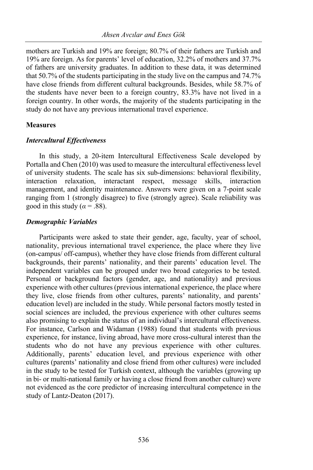mothers are Turkish and 19% are foreign; 80.7% of their fathers are Turkish and 19% are foreign. As for parents' level of education, 32.2% of mothers and 37.7% of fathers are university graduates. In addition to these data, it was determined that 50.7% of the students participating in the study live on the campus and 74.7% have close friends from different cultural backgrounds. Besides, while 58.7% of the students have never been to a foreign country, 83.3% have not lived in a foreign country. In other words, the majority of the students participating in the study do not have any previous international travel experience.

# **Measures**

## *Intercultural Effectiveness*

In this study, a 20-item Intercultural Effectiveness Scale developed by Portalla and Chen (2010) was used to measure the intercultural effectiveness level of university students. The scale has six sub-dimensions: behavioral flexibility, interaction relaxation, interactant respect, message skills, interaction management, and identity maintenance. Answers were given on a 7-point scale ranging from 1 (strongly disagree) to five (strongly agree). Scale reliability was good in this study ( $\alpha$  = .88).

## *Demographic Variables*

Participants were asked to state their gender, age, faculty, year of school, nationality, previous international travel experience, the place where they live (on-campus/ off-campus), whether they have close friends from different cultural backgrounds, their parents' nationality, and their parents' education level. The independent variables can be grouped under two broad categories to be tested. Personal or background factors (gender, age, and nationality) and previous experience with other cultures (previous international experience, the place where they live, close friends from other cultures, parents' nationality, and parents' education level) are included in the study. While personal factors mostly tested in social sciences are included, the previous experience with other cultures seems also promising to explain the status of an individual's intercultural effectiveness. For instance, Carlson and Widaman (1988) found that students with previous experience, for instance, living abroad, have more cross-cultural interest than the students who do not have any previous experience with other cultures. Additionally, parents' education level, and previous experience with other cultures (parents' nationality and close friend from other cultures) were included in the study to be tested for Turkish context, although the variables (growing up in bi- or multi-national family or having a close friend from another culture) were not evidenced as the core predictor of increasing intercultural competence in the study of Lantz-Deaton (2017).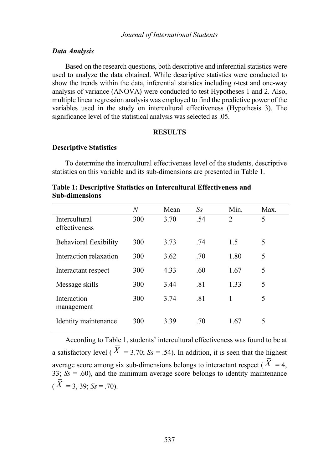#### *Data Analysis*

Based on the research questions, both descriptive and inferential statistics were used to analyze the data obtained. While descriptive statistics were conducted to show the trends within the data, inferential statistics including *t*-test and one-way analysis of variance (ANOVA) were conducted to test Hypotheses 1 and 2. Also, multiple linear regression analysis was employed to find the predictive power of the variables used in the study on intercultural effectiveness (Hypothesis 3). The significance level of the statistical analysis was selected as .05.

#### **RESULTS**

# **Descriptive Statistics**

To determine the intercultural effectiveness level of the students, descriptive statistics on this variable and its sub-dimensions are presented in Table 1.

|                | Table 1: Descriptive Statistics on Intercultural Effectiveness and |  |
|----------------|--------------------------------------------------------------------|--|
| Sub-dimensions |                                                                    |  |

|                                       | N   | Mean | $S_{S}$ | Min.           | Max. |
|---------------------------------------|-----|------|---------|----------------|------|
| <b>Intercultural</b><br>effectiveness | 300 | 3.70 | .54     | $\overline{c}$ | 5    |
| Behavioral flexibility                | 300 | 3.73 | .74     | 1.5            | 5    |
| Interaction relaxation                | 300 | 3.62 | .70     | 1.80           | 5    |
| Interactant respect                   | 300 | 4.33 | .60     | 1.67           | 5    |
| Message skills                        | 300 | 3.44 | .81     | 1.33           | 5    |
| Interaction<br>management             | 300 | 3.74 | .81     | 1              | 5    |
| Identity maintenance                  | 300 | 3.39 | .70     | 1.67           | 5    |

According to Table 1, students' intercultural effectiveness was found to be at a satisfactory level ( $\overline{X}$  = 3.70;  $S_s$  = .54). In addition, it is seen that the highest average score among six sub-dimensions belongs to interactant respect ( $X = 4$ , 33;  $S_s = .60$ ), and the minimum average score belongs to identity maintenance  $(X = 3, 39; Ss = .70)$ .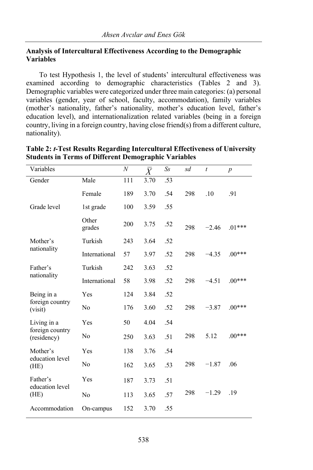# **Analysis of Intercultural Effectiveness According to the Demographic Variables**

To test Hypothesis 1, the level of students' intercultural effectiveness was examined according to demographic characteristics (Tables 2 and 3). Demographic variables were categorized under three main categories: (a) personal variables (gender, year of school, faculty, accommodation), family variables (mother's nationality, father's nationality, mother's education level, father's education level), and internationalization related variables (being in a foreign country, living in a foreign country, having close friend(s) from a different culture, nationality).

| Variables                      |                 | $\boldsymbol{N}$ | $\bar{X}$ | $S_{S}$ | sd  | t       | $\boldsymbol{p}$ |
|--------------------------------|-----------------|------------------|-----------|---------|-----|---------|------------------|
| Gender                         | Male            | 111              | 3.70      | .53     |     |         |                  |
|                                | Female          | 189              | 3.70      | .54     | 298 | .10     | .91              |
| Grade level                    | 1st grade       | 100              | 3.59      | .55     |     |         |                  |
|                                | Other<br>grades | 200              | 3.75      | .52     | 298 | $-2.46$ | $.01***$         |
| Mother's<br>nationality        | Turkish         | 243              | 3.64      | .52     |     |         |                  |
|                                | International   | 57               | 3.97      | .52     | 298 | $-4.35$ | $.00***$         |
| Father's                       | Turkish         | 242              | 3.63      | .52     |     |         |                  |
| nationality                    | International   | 58               | 3.98      | .52     | 298 | $-4.51$ | $.00***$         |
| Being in a                     | Yes             | 124              | 3.84      | .52     |     |         |                  |
| foreign country<br>(visit)     | No              | 176              | 3.60      | .52     | 298 | $-3.87$ | $.00***$         |
| Living in a                    | Yes             | 50               | 4.04      | .54     |     |         |                  |
| foreign country<br>(residency) | No              | 250              | 3.63      | .51     | 298 | 5.12    | $.00***$         |
| Mother's                       | Yes             | 138              | 3.76      | .54     |     |         |                  |
| education level<br>(HE)        | No              | 162              | 3.65      | .53     | 298 | $-1.87$ | .06              |
| Father's<br>education level    | Yes             | 187              | 3.73      | .51     |     |         |                  |
| (HE)                           | No              | 113              | 3.65      | .57     | 298 | $-1.29$ | .19              |
| Accommodation                  | On-campus       | 152              | 3.70      | .55     |     |         |                  |

| Table 2: t-Test Results Regarding Intercultural Effectiveness of University |
|-----------------------------------------------------------------------------|
| <b>Students in Terms of Different Demographic Variables</b>                 |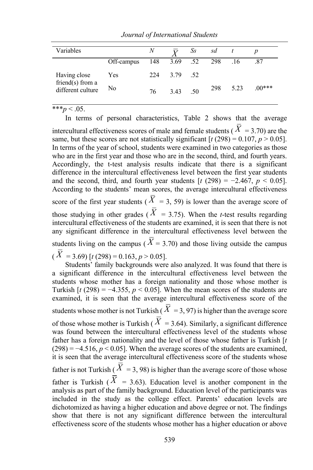| Variables                                                |            | N   |              | $X$ Ss | sd t |          |          |
|----------------------------------------------------------|------------|-----|--------------|--------|------|----------|----------|
|                                                          | Off-campus |     | 148 3.69 .52 |        | 298  | .16      | .87      |
| Having close<br>friend $(s)$ from a<br>different culture | Yes        | 224 | 3.79 .52     |        |      |          |          |
|                                                          | No         | 76  | 3.43 .50     |        |      | 298 5.23 | $.00***$ |

*Journal of International Students*

\*\*\**p* < .05.

In terms of personal characteristics, Table 2 shows that the average intercultural effectiveness scores of male and female students ( $X = 3.70$ ) are the same, but these scores are not statistically significant  $[t (298) = 0.107, p > 0.05]$ . In terms of the year of school, students were examined in two categories as those who are in the first year and those who are in the second, third, and fourth years. Accordingly, the t-test analysis results indicate that there is a significant difference in the intercultural effectiveness level between the first year students and the second, third, and fourth year students  $[t (298) = -2.467, p < 0.05]$ . According to the students' mean scores, the average intercultural effectiveness score of the first year students ( $X = 3$ , 59) is lower than the average score of those studying in other grades ( $\overline{X}$  = 3.75). When the *t*-test results regarding intercultural effectiveness of the students are examined, it is seen that there is not any significant difference in the intercultural effectiveness level between the students living on the campus ( $X = 3.70$ ) and those living outside the campus  $(X = 3.69)$  [t (298) = 0.163,  $p > 0.05$ ].

Students' family backgrounds were also analyzed. It was found that there is a significant difference in the intercultural effectiveness level between the students whose mother has a foreign nationality and those whose mother is Turkish  $\left[t\right]$  (298) = -4.355,  $p < 0.05$ ]. When the mean scores of the students are examined, it is seen that the average intercultural effectiveness score of the students whose mother is not Turkish ( $X = 3,97$ ) is higher than the average score of those whose mother is Turkish ( $X = 3.64$ ). Similarly, a significant difference was found between the intercultural effectiveness level of the students whose father has a foreign nationality and the level of those whose father is Turkish [*t*  $(298) = -4.516$ ,  $p < 0.05$ . When the average scores of the students are examined, it is seen that the average intercultural effectiveness score of the students whose father is not Turkish ( $X = 3,98$ ) is higher than the average score of those whose father is Turkish ( $X = 3.63$ ). Education level is another component in the analysis as part of the family background. Education level of the participants was included in the study as the college effect. Parents' education levels are dichotomized as having a higher education and above degree or not. The findings show that there is not any significant difference between the intercultural effectiveness score of the students whose mother has a higher education or above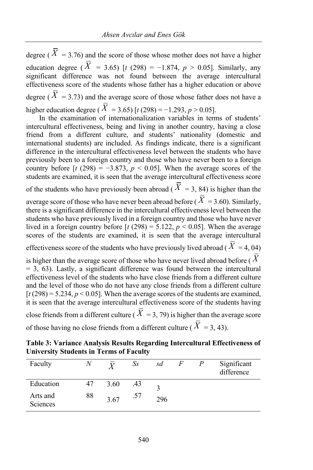degree ( $\overline{X}$  = 3.76) and the score of those whose mother does not have a higher education degree ( $\overline{X}$  = 3.65) [*t* (298) = -1.874,  $p > 0.05$ ]. Similarly, any significant difference was not found between the average intercultural effectiveness score of the students whose father has a higher education or above degree ( $X = 3.73$ ) and the average score of those whose father does not have a higher education degree ( $\hat{X} = 3.65$ ) [ $t(298) = -1.293, p > 0.05$ ].

In the examination of internationalization variables in terms of students' intercultural effectiveness, being and living in another country, having a close friend from a different culture, and students' nationality (domestic and international students) are included. As findings indicate, there is a significant difference in the intercultural effectiveness level between the students who have previously been to a foreign country and those who have never been to a foreign country before  $[t (298) = -3.873, p < 0.05]$ . When the average scores of the students are examined, it is seen that the average intercultural effectiveness score of the students who have previously been abroad ( $X = 3$ , 84) is higher than the

average score of those who have never been abroad before (  $X = 3.60$ ). Similarly, there is a significant difference in the intercultural effectiveness level between the students who have previously lived in a foreign country and those who have never lived in a foreign country before  $\left[t\left(298\right) = 5.122, p < 0.05\right]$ . When the average scores of the students are examined, it is seen that the average intercultural effectiveness score of the students who have previously lived abroad ( $\hat{X} = 4, 04$ )

is higher than the average score of those who have never lived abroad before ( *X*  $= 3, 63$ ). Lastly, a significant difference was found between the intercultural effectiveness level of the students who have close friends from a different culture and the level of those who do not have any close friends from a different culture  $[t(298) = 5.234, p < 0.05]$ . When the average scores of the students are examined, it is seen that the average intercultural effectiveness score of the students having close friends from a different culture ( $X = 3, 79$ ) is higher than the average score of those having no close friends from a different culture ( $X = 3, 43$ ).

| Table 3: Variance Analysis Results Regarding Intercultural Effectiveness of |  |
|-----------------------------------------------------------------------------|--|
| <b>University Students in Terms of Faculty</b>                              |  |

| Faculty              |    |      | Ss  | sd  | F | Significant<br>difference |
|----------------------|----|------|-----|-----|---|---------------------------|
| Education            | 47 | 3.60 | .43 |     |   |                           |
| Arts and<br>Sciences | 88 | 3.67 | .57 | 296 |   |                           |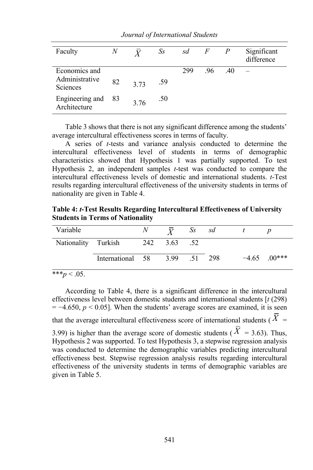|                                              |                           |                       |     |       | Significant |
|----------------------------------------------|---------------------------|-----------------------|-----|-------|-------------|
|                                              |                           |                       |     |       | difference  |
|                                              |                           | 299                   | .96 | .40   |             |
|                                              |                           |                       |     |       |             |
|                                              |                           |                       |     |       |             |
|                                              |                           |                       |     |       |             |
|                                              |                           |                       |     |       |             |
| $\boldsymbol{N}$<br>82<br>Engineering and 83 | $\bar{Y}$<br>3.73<br>3.76 | $S_{S}$<br>.59<br>.50 | sd  | $F^-$ | P           |

*Journal of International Students*

Table 3 shows that there is not any significant difference among the students' average intercultural effectiveness scores in terms of faculty.

A series of *t*-tests and variance analysis conducted to determine the intercultural effectiveness level of students in terms of demographic characteristics showed that Hypothesis 1 was partially supported. To test Hypothesis 2, an independent samples *t*-test was conducted to compare the intercultural effectiveness levels of domestic and international students. *t*-Test results regarding intercultural effectiveness of the university students in terms of nationality are given in Table 4.

**Table 4:** *t***-Test Results Regarding Intercultural Effectiveness of University Students in Terms of Nationality**

| Variable   |                                  | $\overline{Y}$ Ss sd |  |                |
|------------|----------------------------------|----------------------|--|----------------|
|            | Nationality Turkish 242 3.63 .52 |                      |  |                |
|            | International 58 3.99 .51 298    |                      |  | $-4.65$ .00*** |
| $*** - 05$ |                                  |                      |  |                |

 $p < .05.$ 

According to Table 4, there is a significant difference in the intercultural effectiveness level between domestic students and international students [*t* (298)  $= -4.650, p \le 0.05$ . When the students' average scores are examined, it is seen that the average intercultural effectiveness score of international students ( $X =$ 

3.99) is higher than the average score of domestic students ( $X = 3.63$ ). Thus, Hypothesis 2 was supported. To test Hypothesis 3, a stepwise regression analysis was conducted to determine the demographic variables predicting intercultural effectiveness best. Stepwise regression analysis results regarding intercultural effectiveness of the university students in terms of demographic variables are given in Table 5.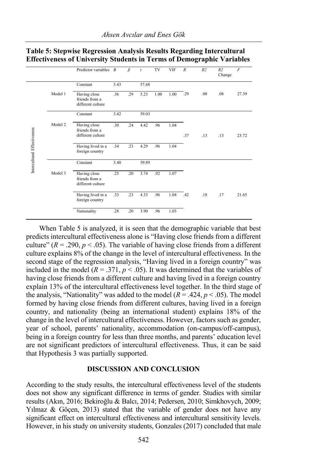|                             |         | Predictor variables $B$                             |      | $\beta$ | $\mathfrak{t}$ | TV   | <b>VIF</b> | $\boldsymbol{R}$ | R <sub>2</sub> | R <sub>2</sub><br>Change | $\overline{F}$ |
|-----------------------------|---------|-----------------------------------------------------|------|---------|----------------|------|------------|------------------|----------------|--------------------------|----------------|
|                             |         | Constant                                            | 3.43 |         | 57.68          |      |            |                  |                |                          |                |
|                             | Model 1 | Having close<br>friends from a<br>different culture | .36  | .29     | 5.23           | 1.00 | 1.00       | .29              | .08            | .08                      | 27.39          |
|                             |         | Constant                                            | 3.42 |         | 59.03          |      |            |                  |                |                          |                |
| Intercultural Effectiveness | Model 2 | Having close<br>friends from a<br>different culture | .30  | .24     | 4.42           | .96  | 1.04       | .37              | .13            | .13                      | 23.72          |
|                             |         | Having lived in a<br>foreign country                | .34  | .23     | 4.29           | .96  | 1.04       |                  |                |                          |                |
|                             |         | Constant                                            | 3.40 |         | 59.89          |      |            |                  |                |                          |                |
|                             | Model 3 | Having close<br>friends from a<br>different culture | .25  | .20     | 3.74           | .92  | 1.07       |                  |                |                          |                |
|                             |         | Having lived in a<br>foreign country                | .33  | .23     | 4.33           | .96  | 1.04       | .42              | .18            | .17                      | 21.65          |
|                             |         | Nationality                                         | .28  | .20     | 3.90           | .96  | 1.03       |                  |                |                          |                |

## **Table 5: Stepwise Regression Analysis Results Regarding Intercultural Effectiveness of University Students in Terms of Demographic Variables**

When Table 5 is analyzed, it is seen that the demographic variable that best predicts intercultural effectiveness alone is "Having close friends from a different culture" ( $R = .290$ ,  $p < .05$ ). The variable of having close friends from a different culture explains 8% of the change in the level of intercultural effectiveness. In the second stage of the regression analysis, "Having lived in a foreign country" was included in the model  $(R = .371, p < .05)$ . It was determined that the variables of having close friends from a different culture and having lived in a foreign country explain 13% of the intercultural effectiveness level together. In the third stage of the analysis, "Nationality" was added to the model  $(R = .424, p < .05)$ . The model formed by having close friends from different cultures, having lived in a foreign country, and nationality (being an international student) explains 18% of the change in the level of intercultural effectiveness. However, factors such as gender, year of school, parents' nationality, accommodation (on-campus/off-campus), being in a foreign country for less than three months, and parents' education level are not significant predictors of intercultural effectiveness. Thus, it can be said that Hypothesis 3 was partially supported.

#### **DISCUSSION AND CONCLUSION**

According to the study results, the intercultural effectiveness level of the students does not show any significant difference in terms of gender. Studies with similar results (Akın, 2016; Bekiroğlu & Balcı, 2014; Pedersen, 2010; Simkhovych, 2009; Yılmaz & Göçen, 2013) stated that the variable of gender does not have any significant effect on intercultural effectiveness and intercultural sensitivity levels. However, in his study on university students, Gonzales (2017) concluded that male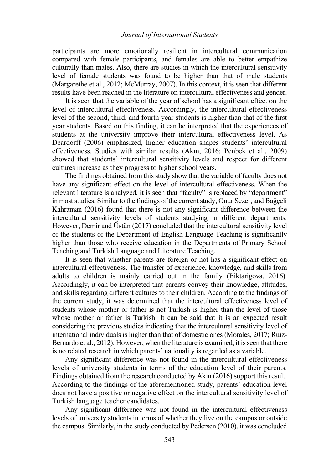participants are more emotionally resilient in intercultural communication compared with female participants, and females are able to better empathize culturally than males. Also, there are studies in which the intercultural sensitivity level of female students was found to be higher than that of male students (Margarethe et al., 2012; McMurray, 2007). In this context, it is seen that different results have been reached in the literature on intercultural effectiveness and gender.

It is seen that the variable of the year of school has a significant effect on the level of intercultural effectiveness. Accordingly, the intercultural effectiveness level of the second, third, and fourth year students is higher than that of the first year students. Based on this finding, it can be interpreted that the experiences of students at the university improve their intercultural effectiveness level. As Deardorff (2006) emphasized, higher education shapes students' intercultural effectiveness. Studies with similar results (Akın, 2016; Penbek et al., 2009) showed that students' intercultural sensitivity levels and respect for different cultures increase as they progress to higher school years.

The findings obtained from this study show that the variable of faculty does not have any significant effect on the level of intercultural effectiveness. When the relevant literature is analyzed, it is seen that "faculty" is replaced by "department" in most studies. Similar to the findings of the current study, Onur Sezer, and Bağçeli Kahraman (2016) found that there is not any significant difference between the intercultural sensitivity levels of students studying in different departments. However, Demir and Üstün (2017) concluded that the intercultural sensitivity level of the students of the Department of English Language Teaching is significantly higher than those who receive education in the Departments of Primary School Teaching and Turkish Language and Literature Teaching.

It is seen that whether parents are foreign or not has a significant effect on intercultural effectiveness. The transfer of experience, knowledge, and skills from adults to children is mainly carried out in the family (Biktarigova, 2016). Accordingly, it can be interpreted that parents convey their knowledge, attitudes, and skills regarding different cultures to their children. According to the findings of the current study, it was determined that the intercultural effectiveness level of students whose mother or father is not Turkish is higher than the level of those whose mother or father is Turkish. It can be said that it is an expected result considering the previous studies indicating that the intercultural sensitivity level of international individuals is higher than that of domestic ones (Morales, 2017; Ruiz-Bernardo et al., 2012). However, when the literature is examined, it is seen that there is no related research in which parents' nationality is regarded as a variable.

Any significant difference was not found in the intercultural effectiveness levels of university students in terms of the education level of their parents. Findings obtained from the research conducted by Akın (2016) support this result. According to the findings of the aforementioned study, parents' education level does not have a positive or negative effect on the intercultural sensitivity level of Turkish language teacher candidates.

Any significant difference was not found in the intercultural effectiveness levels of university students in terms of whether they live on the campus or outside the campus. Similarly, in the study conducted by Pedersen (2010), it was concluded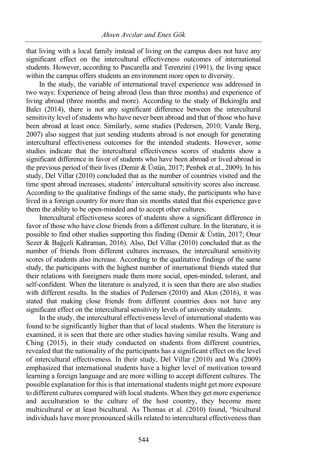that living with a local family instead of living on the campus does not have any significant effect on the intercultural effectiveness outcomes of international students. However, according to Pascarella and Terenzini (1991), the living space within the campus offers students an environment more open to diversity.

In the study, the variable of international travel experience was addressed in two ways: Experience of being abroad (less than three months) and experience of living abroad (three months and more). According to the study of Bekiroğlu and Balcı (2014), there is not any significant difference between the intercultural sensitivity level of students who have never been abroad and that of those who have been abroad at least once. Similarly, some studies (Pedersen, 2010; Vande Berg, 2007) also suggest that just sending students abroad is not enough for generating intercultural effectiveness outcomes for the intended students. However, some studies indicate that the intercultural effectiveness scores of students show a significant difference in favor of students who have been abroad or lived abroad in the previous period of their lives (Demir & Üstün, 2017; Penbek et al., 2009). In his study, Del Villar (2010) concluded that as the number of countries visited and the time spent abroad increases, students' intercultural sensitivity scores also increase. According to the qualitative findings of the same study, the participants who have lived in a foreign country for more than six months stated that this experience gave them the ability to be open-minded and to accept other cultures.

Intercultural effectiveness scores of students show a significant difference in favor of those who have close friends from a different culture. In the literature, it is possible to find other studies supporting this finding (Demir & Üstün, 2017; Onur Sezer & Bağçeli Kahraman, 2016). Also, Del Villar (2010) concluded that as the number of friends from different cultures increases, the intercultural sensitivity scores of students also increase. According to the qualitative findings of the same study, the participants with the highest number of international friends stated that their relations with foreigners made them more social, open-minded, tolerant, and self-confident. When the literature is analyzed, it is seen that there are also studies with different results. In the studies of Pedersen (2010) and Akın (2016), it was stated that making close friends from different countries does not have any significant effect on the intercultural sensitivity levels of university students.

In the study, the intercultural effectiveness level of international students was found to be significantly higher than that of local students. When the literature is examined, it is seen that there are other studies having similar results. Wang and Ching (2015), in their study conducted on students from different countries, revealed that the nationality of the participants has a significant effect on the level of intercultural effectiveness. In their study, Del Villar (2010) and Wu (2009) emphasized that international students have a higher level of motivation toward learning a foreign language and are more willing to accept different cultures. The possible explanation for this is that international students might get more exposure to different cultures compared with local students. When they get more experience and acculturation to the culture of the host country, they become more multicultural or at least bicultural. As Thomas et al. (2010) found, "bicultural individuals have more pronounced skills related to intercultural effectiveness than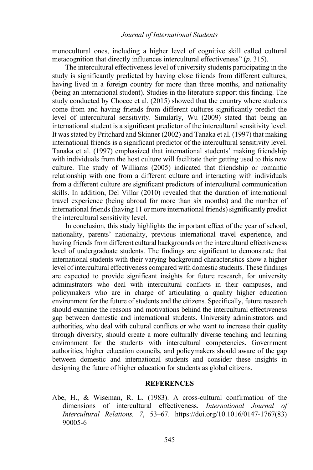monocultural ones, including a higher level of cognitive skill called cultural metacognition that directly influences intercultural effectiveness" (*p*. 315).

The intercultural effectiveness level of university students participating in the study is significantly predicted by having close friends from different cultures, having lived in a foreign country for more than three months, and nationality (being an international student). Studies in the literature support this finding. The study conducted by Chocce et al. (2015) showed that the country where students come from and having friends from different cultures significantly predict the level of intercultural sensitivity. Similarly, Wu (2009) stated that being an international student is a significant predictor of the intercultural sensitivity level. It was stated by Pritchard and Skinner (2002) and Tanaka et al. (1997) that making international friends is a significant predictor of the intercultural sensitivity level. Tanaka et al. (1997) emphasized that international students' making friendship with individuals from the host culture will facilitate their getting used to this new culture. The study of Williams (2005) indicated that friendship or romantic relationship with one from a different culture and interacting with individuals from a different culture are significant predictors of intercultural communication skills. In addition, Del Villar (2010) revealed that the duration of international travel experience (being abroad for more than six months) and the number of international friends (having 11 or more international friends) significantly predict the intercultural sensitivity level.

In conclusion, this study highlights the important effect of the year of school, nationality, parents' nationality, previous international travel experience, and having friends from different cultural backgrounds on the intercultural effectiveness level of undergraduate students. The findings are significant to demonstrate that international students with their varying background characteristics show a higher level of intercultural effectiveness compared with domestic students. These findings are expected to provide significant insights for future research, for university administrators who deal with intercultural conflicts in their campuses, and policymakers who are in charge of articulating a quality higher education environment for the future of students and the citizens. Specifically, future research should examine the reasons and motivations behind the intercultural effectiveness gap between domestic and international students. University administrators and authorities, who deal with cultural conflicts or who want to increase their quality through diversity, should create a more culturally diverse teaching and learning environment for the students with intercultural competencies. Government authorities, higher education councils, and policymakers should aware of the gap between domestic and international students and consider these insights in designing the future of higher education for students as global citizens.

#### **REFERENCES**

Abe, H., & Wiseman, R. L. (1983). A cross-cultural confirmation of the dimensions of intercultural effectiveness. *International Journal of Intercultural Relations, 7*, 53–67. https://doi.org/10.1016/0147-1767(83) 90005-6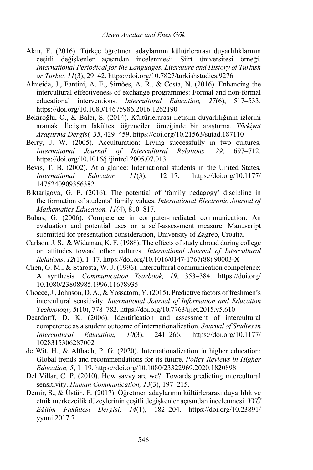- Akın, E. (2016). Türkçe öğretmen adaylarının kültürlerarası duyarlılıklarının çeşitli değişkenler açısından incelenmesi: Siirt üniversitesi örneği. *International Periodical for the Languages, Literature and History of Turkish or Turkic, 11*(3), 29–42. https://doi.org/10.7827/turkishstudies.9276
- Almeida, J., Fantini, A. E., Simões, A. R., & Costa, N. (2016). Enhancing the intercultural effectiveness of exchange programmes: Formal and non-formal educational interventions. *Intercultural Education, 27*(6), 517–533. https://doi.org/10.1080/14675986.2016.1262190
- Bekiroğlu, O., & Balcı, Ş. (2014). Kültürlerarası iletişim duyarlılığının izlerini aramak: İletişim fakültesi öğrencileri örneğinde bir araştırma. *Türkiyat Araştırma Dergisi, 35*, 429–459. https://doi.org/10.21563/sutad.187110
- Berry, J. W. (2005). Acculturation: Living successfully in two cultures. *International Journal of Intercultural Relations, 29*, 697–712. https://doi.org/10.1016/j.ijintrel.2005.07.013
- Bevis, T. B. (2002). At a glance: International students in the United States. *International Educator, 11*(3), 12–17. https://doi.org/10.1177/ 1475240909356382
- Biktarigova, G. F. (2016). The potential of 'family pedagogy' discipline in the formation of students' family values. *International Electronic Journal of Mathematics Education, 11*(4), 810–817.
- Bubas, G. (2006). Competence in computer-mediated communication: An evaluation and potential uses on a self-assessment measure. Manuscript submitted for presentation consideration, University of Zagreb, Croatia.
- Carlson, J. S., & Widaman, K. F. (1988). The effects of study abroad during college on attitudes toward other cultures. *International Journal of Intercultural Relations*, *12*(1), 1–17. https://doi.org/10.1016/0147-1767(88) 90003-X
- Chen, G. M., & Starosta, W. J. (1996). Intercultural communication competence: A synthesis. *Communication Yearbook, 19*, 353–384. https://doi.org/ 10.1080/23808985.1996.11678935
- Chocce, J., Johnson, D. A., & Yossatorn, Y. (2015). Predictive factors of freshmen's intercultural sensitivity. *International Journal of Information and Education Technology, 5*(10), 778–782. https://doi.org/10.7763/ijiet.2015.v5.610
- Deardorff, D. K. (2006). Identification and assessment of intercultural competence as a student outcome of internationalization. *Journal of Studies in Intercultural Education, 10*(3), 241–266. https://doi.org/10.1177/ 1028315306287002
- de Wit, H., & Altbach, P. G. (2020). Internationalization in higher education: Global trends and recommendations for its future. *Policy Reviews in Higher Education, 5*, 1–19. https://doi.org/10.1080/23322969.2020.1820898
- Del Villar, C. P. (2010). How savvy are we?: Towards predicting ıntercultural sensitivity. *Human Communication, 13*(3), 197–215.
- Demir, S., & Üstün, E. (2017). Öğretmen adaylarının kültürlerarası duyarlılık ve etnik merkezcilik düzeylerinin çeşitli değişkenler açısından incelenmesi. *YYÜ Eğitim Fakültesi Dergisi, 14*(1), 182–204. https://doi.org/10.23891/ yyuni.2017.7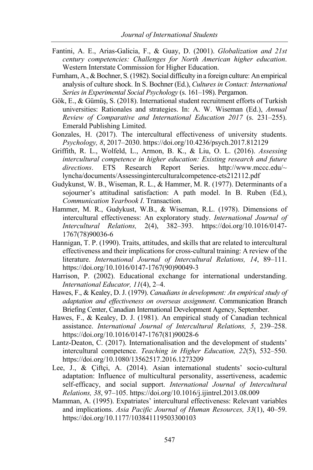- Fantini, A. E., Arias-Galicia, F., & Guay, D. (2001). *Globalization and 21st century competencies: Challenges for North American higher education*. Western Interstate Commission for Higher Education.
- Furnham, A., & Bochner, S. (1982). Social difficulty in a foreign culture: An empirical analysis of culture shock. In S. Bochner (Ed.), *Cultures in Contact: International Series in Experimental Social Psychology* (s. 161–198). Pergamon.
- Gök, E., & Gümüş, S. (2018). International student recruitment efforts of Turkish universities: Rationales and strategies. In: A. W. Wiseman (Ed.), *Annual Review of Comparative and International Education 2017* (s. 231–255). Emerald Publishing Limited.
- Gonzales, H. (2017). The intercultural effectiveness of university students. *Psychology, 8*, 2017–2030. https://doi.org/10.4236/psych.2017.812129
- Griffith, R. L., Wolfeld, L., Armon, B. K., & Liu, O. L. (2016). *Assessing intercultural competence in higher education: Existing research and future directions*. ETS Research Report Series. http://www.mccc.edu/~ lyncha/documents/Assessinginterculturalcompetence-ets212112.pdf
- Gudykunst, W. B., Wiseman, R. L., & Hammer, M. R. (1977). Determinants of a sojourner's attitudinal satisfaction: A path model. In B. Ruben (Ed.), *Communication Yearbook I*. Transaction.
- Hammer, M. R., Gudykust, W.B., & Wiseman, R.L. (1978). Dimensions of intercultural effectiveness: An exploratory study. *International Journal of Intercultural Relations,* 2(4), 382–393. https://doi.org/10.1016/0147- 1767(78)90036-6
- Hannigan, T. P. (1990). Traits, attitudes, and skills that are related to intercultural effectiveness and their implications for cross-cultural training: A review of the literature. *International Journal of Intercultural Relations, 14*, 89–111. https://doi.org/10.1016/0147-1767(90)90049-3
- Harrison, P. (2002). Educational exchange for international understanding. *International Educator, 11*(4), 2–4.
- Hawes, F., & Kealey, D. J. (1979). *Canadians in development: An empirical study of adaptation and effectiveness on overseas assignment*. Communication Branch Briefing Center, Canadian International Development Agency, September.
- Hawes, F., & Kealey, D. J. (1981). An empirical study of Canadian technical assistance. *International Journal of Intercultural Relations, 5*, 239–258. https://doi.org/10.1016/0147-1767(81)90028-6
- Lantz-Deaton, C. (2017). Internationalisation and the development of students' intercultural competence. *Teaching in Higher Education, 22*(5), 532–550. https://doi.org/10.1080/13562517.2016.1273209
- Lee, J., & Çiftçi, A. (2014). Asian international students' socio-cultural adaptation: Influence of multicultural personality, assertiveness, academic self-efficacy, and social support. *International Journal of Intercultural Relations, 38*, 97–105. https://doi.org/10.1016/j.ijintrel.2013.08.009
- Mamman, A. (1995). Expatriates' intercultural effectiveness: Relevant variables and implications. *Asia Pacific Journal of Human Resources, 33*(1), 40–59. https://doi.org/10.1177/103841119503300103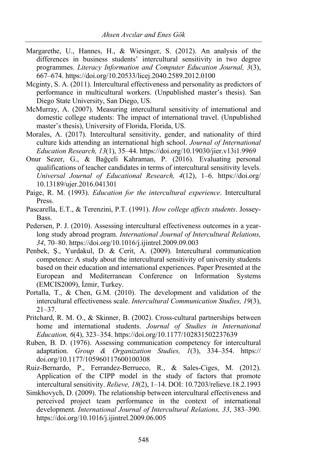- Margarethe, U., Hannes, H., & Wiesinger, S. (2012). An analysis of the differences in business students' intercultural sensitivity in two degree programmes. *Literacy Information and Computer Education Journal, 3*(3), 667–674. https://doi.org/10.20533/licej.2040.2589.2012.0100
- Mcginty, S. A. (2011). Intercultural effectiveness and personality as predictors of performance in multicultural workers. (Unpublished master's thesis). San Diego State University, San Diego, US.
- McMurray, A. (2007). Measuring intercultural sensitivity of international and domestic college students: The impact of international travel. (Unpublished master's thesis), University of Florida, Florida, US.
- Morales, A. (2017). Intercultural sensitivity, gender, and nationality of third culture kids attending an international high school. *Journal of International Education Research, 13*(1), 35–44. https://doi.org/10.19030/jier.v13i1.9969
- Onur Sezer, G., & Bağçeli Kahraman, P. (2016). Evaluating personal qualifications of teacher candidates in terms of intercultural sensitivity levels. *Universal Journal of Educational Research, 4*(12), 1–6. https://doi.org/ 10.13189/ujer.2016.041301
- Paige, R. M. (1993). *Education for the intercultural experience*. Intercultural Press.
- Pascarella, E.T., & Terenzini, P.T. (1991). *How college affects students*. Jossey-Bass.
- Pedersen, P. J. (2010). Assessing intercultural effectiveness outcomes in a yearlong study abroad program. *International Journal of Intercultural Relations, 34*, 70–80. https://doi.org/10.1016/j.ijintrel.2009.09.003
- Penbek, Ş., Yurdakul, D. & Cerit, A. (2009). Intercultural communication competence: A study about the intercultural sensitivity of university students based on their education and international experiences. Paper Presented at the European and Mediterranean Conference on Information Systems (EMCIS2009), İzmir, Turkey.
- Portalla, T., & Chen, G.M. (2010). The development and validation of the intercultural effectiveness scale. *Intercultural Communication Studies, 19*(3), 21–37.
- Pritchard, R. M. O., & Skinner, B. (2002). Cross-cultural partnerships between home and international students. *Journal of Studies in International Education, 6*(4), 323–354. https://doi.org/10.1177/102831502237639
- Ruben, B. D. (1976). Assessing communication competency for intercultural adaptation. *Group & Organization Studies, 1*(3), 334–354. https:// doi.org/10.1177/105960117600100308
- Ruiz-Bernardo, P., Ferrandez-Berrueco, R., & Sales-Ciges, M. (2012). Application of the CIPP model in the study of factors that promote intercultural sensitivity. *Relieve, 18*(2), 1–14. DOI: 10.7203/relieve.18.2.1993
- Simkhovych, D. (2009). The relationship between intercultural effectiveness and perceived project team performance in the context of international development. *International Journal of Intercultural Relations, 33*, 383–390. https://doi.org/10.1016/j.ijintrel.2009.06.005